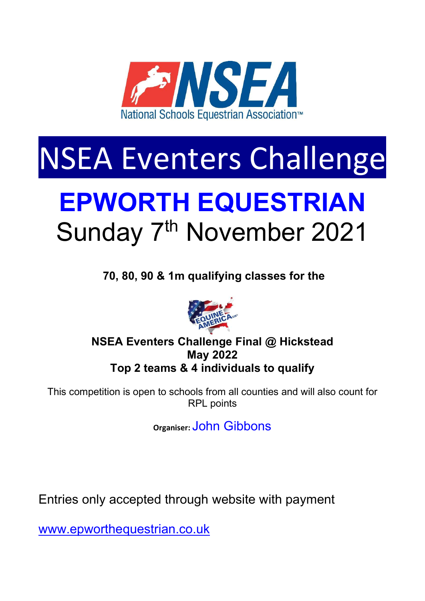

# NSEA Eventers Challenge

## EPWORTH EQUESTRIAN Sunday 7<sup>th</sup> November 2021

70, 80, 90 & 1m qualifying classes for the



## NSEA Eventers Challenge Final @ Hickstead May 2022 Top 2 teams & 4 individuals to qualify

This competition is open to schools from all counties and will also count for RPL points

Organiser: John Gibbons

Entries only accepted through website with payment

www.epworthequestrian.co.uk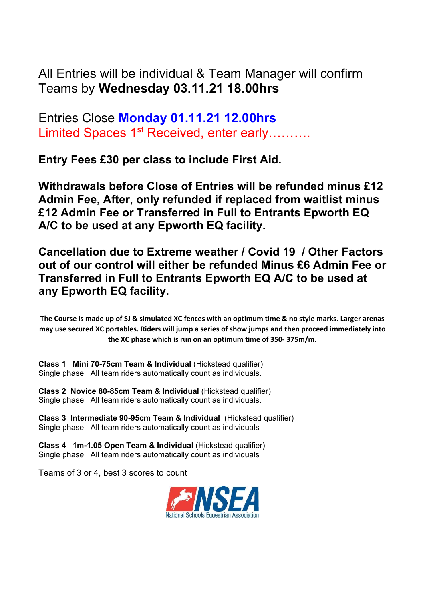All Entries will be individual & Team Manager will confirm Teams by Wednesday 03.11.21 18.00hrs

Entries Close Monday 01.11.21 12.00hrs Limited Spaces 1<sup>st</sup> Received, enter early……….

Entry Fees £30 per class to include First Aid.

Withdrawals before Close of Entries will be refunded minus £12 Admin Fee, After, only refunded if replaced from waitlist minus £12 Admin Fee or Transferred in Full to Entrants Epworth EQ A/C to be used at any Epworth EQ facility.

Cancellation due to Extreme weather / Covid 19 / Other Factors out of our control will either be refunded Minus £6 Admin Fee or Transferred in Full to Entrants Epworth EQ A/C to be used at any Epworth EQ facility.

The Course is made up of SJ & simulated XC fences with an optimum time & no style marks. Larger arenas may use secured XC portables. Riders will jump a series of show jumps and then proceed immediately into the XC phase which is run on an optimum time of 350- 375m/m.

Class 1 Mini 70-75cm Team & Individual (Hickstead qualifier) Single phase. All team riders automatically count as individuals.

Class 2 Novice 80-85cm Team & Individual (Hickstead qualifier) Single phase. All team riders automatically count as individuals.

Class 3 Intermediate 90-95cm Team & Individual (Hickstead qualifier) Single phase. All team riders automatically count as individuals

Class 4 1m-1.05 Open Team & Individual (Hickstead qualifier) Single phase. All team riders automatically count as individuals

Teams of 3 or 4, best 3 scores to count

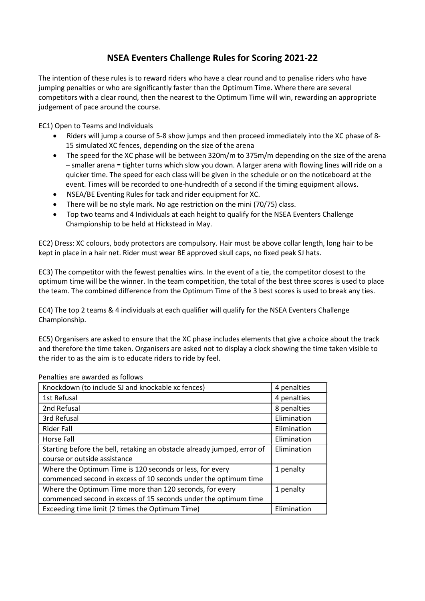### NSEA Eventers Challenge Rules for Scoring 2021-22

The intention of these rules is to reward riders who have a clear round and to penalise riders who have jumping penalties or who are significantly faster than the Optimum Time. Where there are several competitors with a clear round, then the nearest to the Optimum Time will win, rewarding an appropriate judgement of pace around the course.

EC1) Open to Teams and Individuals

- Riders will jump a course of 5-8 show jumps and then proceed immediately into the XC phase of 8- 15 simulated XC fences, depending on the size of the arena
- The speed for the XC phase will be between 320m/m to 375m/m depending on the size of the arena – smaller arena = tighter turns which slow you down. A larger arena with flowing lines will ride on a quicker time. The speed for each class will be given in the schedule or on the noticeboard at the event. Times will be recorded to one-hundredth of a second if the timing equipment allows.
- NSEA/BE Eventing Rules for tack and rider equipment for XC.
- There will be no style mark. No age restriction on the mini (70/75) class.
- Top two teams and 4 Individuals at each height to qualify for the NSEA Eventers Challenge Championship to be held at Hickstead in May.

EC2) Dress: XC colours, body protectors are compulsory. Hair must be above collar length, long hair to be kept in place in a hair net. Rider must wear BE approved skull caps, no fixed peak SJ hats.

EC3) The competitor with the fewest penalties wins. In the event of a tie, the competitor closest to the optimum time will be the winner. In the team competition, the total of the best three scores is used to place the team. The combined difference from the Optimum Time of the 3 best scores is used to break any ties.

EC4) The top 2 teams & 4 individuals at each qualifier will qualify for the NSEA Eventers Challenge Championship.

EC5) Organisers are asked to ensure that the XC phase includes elements that give a choice about the track and therefore the time taken. Organisers are asked not to display a clock showing the time taken visible to the rider to as the aim is to educate riders to ride by feel.

| Knockdown (to include SJ and knockable xc fences)                       | 4 penalties |
|-------------------------------------------------------------------------|-------------|
| 1st Refusal                                                             | 4 penalties |
| 2nd Refusal                                                             | 8 penalties |
| 3rd Refusal                                                             | Elimination |
| Rider Fall                                                              | Elimination |
| Horse Fall                                                              | Elimination |
| Starting before the bell, retaking an obstacle already jumped, error of | Elimination |
| course or outside assistance                                            |             |
| Where the Optimum Time is 120 seconds or less, for every                | 1 penalty   |
| commenced second in excess of 10 seconds under the optimum time         |             |
| Where the Optimum Time more than 120 seconds, for every                 | 1 penalty   |
| commenced second in excess of 15 seconds under the optimum time         |             |
| Exceeding time limit (2 times the Optimum Time)                         | Elimination |

Penalties are awarded as follows